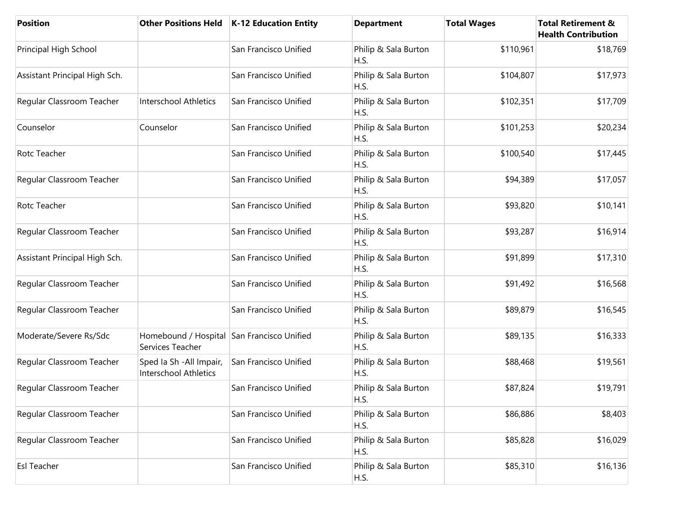| <b>Position</b>               |                                                                | Other Positions Held   K-12 Education Entity | <b>Department</b>            | <b>Total Wages</b> | <b>Total Retirement &amp;</b><br><b>Health Contribution</b> |
|-------------------------------|----------------------------------------------------------------|----------------------------------------------|------------------------------|--------------------|-------------------------------------------------------------|
| Principal High School         |                                                                | San Francisco Unified                        | Philip & Sala Burton<br>H.S. | \$110,961          | \$18,769                                                    |
| Assistant Principal High Sch. |                                                                | San Francisco Unified                        | Philip & Sala Burton<br>H.S. | \$104,807          | \$17,973                                                    |
| Regular Classroom Teacher     | <b>Interschool Athletics</b>                                   | San Francisco Unified                        | Philip & Sala Burton<br>H.S. | \$102,351          | \$17,709                                                    |
| Counselor                     | Counselor                                                      | San Francisco Unified                        | Philip & Sala Burton<br>H.S. | \$101,253          | \$20,234                                                    |
| Rotc Teacher                  |                                                                | San Francisco Unified                        | Philip & Sala Burton<br>H.S. | \$100,540          | \$17,445                                                    |
| Regular Classroom Teacher     |                                                                | San Francisco Unified                        | Philip & Sala Burton<br>H.S. | \$94,389           | \$17,057                                                    |
| Rotc Teacher                  |                                                                | San Francisco Unified                        | Philip & Sala Burton<br>H.S. | \$93,820           | \$10,141                                                    |
| Regular Classroom Teacher     |                                                                | San Francisco Unified                        | Philip & Sala Burton<br>H.S. | \$93,287           | \$16,914                                                    |
| Assistant Principal High Sch. |                                                                | San Francisco Unified                        | Philip & Sala Burton<br>H.S. | \$91,899           | \$17,310                                                    |
| Regular Classroom Teacher     |                                                                | San Francisco Unified                        | Philip & Sala Burton<br>H.S. | \$91,492           | \$16,568                                                    |
| Regular Classroom Teacher     |                                                                | San Francisco Unified                        | Philip & Sala Burton<br>H.S. | \$89,879           | \$16,545                                                    |
| Moderate/Severe Rs/Sdc        | Homebound / Hospital San Francisco Unified<br>Services Teacher |                                              | Philip & Sala Burton<br>H.S. | \$89,135           | \$16,333                                                    |
| Regular Classroom Teacher     | Sped Ia Sh - All Impair,<br><b>Interschool Athletics</b>       | San Francisco Unified                        | Philip & Sala Burton<br>H.S. | \$88,468           | \$19,561                                                    |
| Regular Classroom Teacher     |                                                                | San Francisco Unified                        | Philip & Sala Burton<br>H.S. | \$87,824           | \$19,791                                                    |
| Regular Classroom Teacher     |                                                                | San Francisco Unified                        | Philip & Sala Burton<br>H.S. | \$86,886           | \$8,403                                                     |
| Regular Classroom Teacher     |                                                                | San Francisco Unified                        | Philip & Sala Burton<br>H.S. | \$85,828           | \$16,029                                                    |
| <b>Esl Teacher</b>            |                                                                | San Francisco Unified                        | Philip & Sala Burton<br>H.S. | \$85,310           | \$16,136                                                    |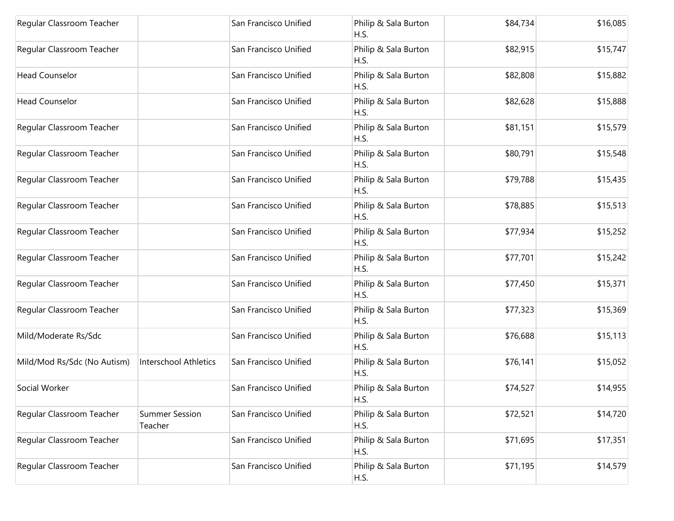| Regular Classroom Teacher   |                                  | San Francisco Unified | Philip & Sala Burton<br>H.S. | \$84,734 | \$16,085 |
|-----------------------------|----------------------------------|-----------------------|------------------------------|----------|----------|
| Regular Classroom Teacher   |                                  | San Francisco Unified | Philip & Sala Burton<br>H.S. | \$82,915 | \$15,747 |
| <b>Head Counselor</b>       |                                  | San Francisco Unified | Philip & Sala Burton<br>H.S. | \$82,808 | \$15,882 |
| <b>Head Counselor</b>       |                                  | San Francisco Unified | Philip & Sala Burton<br>H.S. | \$82,628 | \$15,888 |
| Regular Classroom Teacher   |                                  | San Francisco Unified | Philip & Sala Burton<br>H.S. | \$81,151 | \$15,579 |
| Regular Classroom Teacher   |                                  | San Francisco Unified | Philip & Sala Burton<br>H.S. | \$80,791 | \$15,548 |
| Regular Classroom Teacher   |                                  | San Francisco Unified | Philip & Sala Burton<br>H.S. | \$79,788 | \$15,435 |
| Regular Classroom Teacher   |                                  | San Francisco Unified | Philip & Sala Burton<br>H.S. | \$78,885 | \$15,513 |
| Regular Classroom Teacher   |                                  | San Francisco Unified | Philip & Sala Burton<br>H.S. | \$77,934 | \$15,252 |
| Regular Classroom Teacher   |                                  | San Francisco Unified | Philip & Sala Burton<br>H.S. | \$77,701 | \$15,242 |
| Regular Classroom Teacher   |                                  | San Francisco Unified | Philip & Sala Burton<br>H.S. | \$77,450 | \$15,371 |
| Regular Classroom Teacher   |                                  | San Francisco Unified | Philip & Sala Burton<br>H.S. | \$77,323 | \$15,369 |
| Mild/Moderate Rs/Sdc        |                                  | San Francisco Unified | Philip & Sala Burton<br>H.S. | \$76,688 | \$15,113 |
| Mild/Mod Rs/Sdc (No Autism) | Interschool Athletics            | San Francisco Unified | Philip & Sala Burton<br>H.S. | \$76,141 | \$15,052 |
| Social Worker               |                                  | San Francisco Unified | Philip & Sala Burton<br>H.S. | \$74,527 | \$14,955 |
| Regular Classroom Teacher   | <b>Summer Session</b><br>Teacher | San Francisco Unified | Philip & Sala Burton<br>H.S. | \$72,521 | \$14,720 |
| Regular Classroom Teacher   |                                  | San Francisco Unified | Philip & Sala Burton<br>H.S. | \$71,695 | \$17,351 |
| Regular Classroom Teacher   |                                  | San Francisco Unified | Philip & Sala Burton<br>H.S. | \$71,195 | \$14,579 |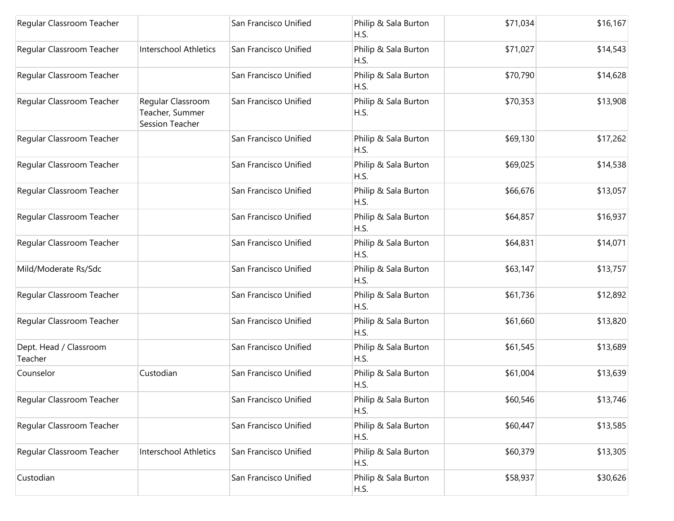| Regular Classroom Teacher         |                                                         | San Francisco Unified | Philip & Sala Burton<br>H.S. | \$71,034 | \$16,167 |
|-----------------------------------|---------------------------------------------------------|-----------------------|------------------------------|----------|----------|
| Regular Classroom Teacher         | <b>Interschool Athletics</b>                            | San Francisco Unified | Philip & Sala Burton<br>H.S. | \$71,027 | \$14,543 |
| Regular Classroom Teacher         |                                                         | San Francisco Unified | Philip & Sala Burton<br>H.S. | \$70,790 | \$14,628 |
| Regular Classroom Teacher         | Regular Classroom<br>Teacher, Summer<br>Session Teacher | San Francisco Unified | Philip & Sala Burton<br>H.S. | \$70,353 | \$13,908 |
| Regular Classroom Teacher         |                                                         | San Francisco Unified | Philip & Sala Burton<br>H.S. | \$69,130 | \$17,262 |
| Regular Classroom Teacher         |                                                         | San Francisco Unified | Philip & Sala Burton<br>H.S. | \$69,025 | \$14,538 |
| Regular Classroom Teacher         |                                                         | San Francisco Unified | Philip & Sala Burton<br>H.S. | \$66,676 | \$13,057 |
| Regular Classroom Teacher         |                                                         | San Francisco Unified | Philip & Sala Burton<br>H.S. | \$64,857 | \$16,937 |
| Regular Classroom Teacher         |                                                         | San Francisco Unified | Philip & Sala Burton<br>H.S. | \$64,831 | \$14,071 |
| Mild/Moderate Rs/Sdc              |                                                         | San Francisco Unified | Philip & Sala Burton<br>H.S. | \$63,147 | \$13,757 |
| Regular Classroom Teacher         |                                                         | San Francisco Unified | Philip & Sala Burton<br>H.S. | \$61,736 | \$12,892 |
| Regular Classroom Teacher         |                                                         | San Francisco Unified | Philip & Sala Burton<br>H.S. | \$61,660 | \$13,820 |
| Dept. Head / Classroom<br>Teacher |                                                         | San Francisco Unified | Philip & Sala Burton<br>H.S. | \$61,545 | \$13,689 |
| Counselor                         | Custodian                                               | San Francisco Unified | Philip & Sala Burton<br>H.S. | \$61,004 | \$13,639 |
| Regular Classroom Teacher         |                                                         | San Francisco Unified | Philip & Sala Burton<br>H.S. | \$60,546 | \$13,746 |
| Regular Classroom Teacher         |                                                         | San Francisco Unified | Philip & Sala Burton<br>H.S. | \$60,447 | \$13,585 |
| Regular Classroom Teacher         | Interschool Athletics                                   | San Francisco Unified | Philip & Sala Burton<br>H.S. | \$60,379 | \$13,305 |
| Custodian                         |                                                         | San Francisco Unified | Philip & Sala Burton<br>H.S. | \$58,937 | \$30,626 |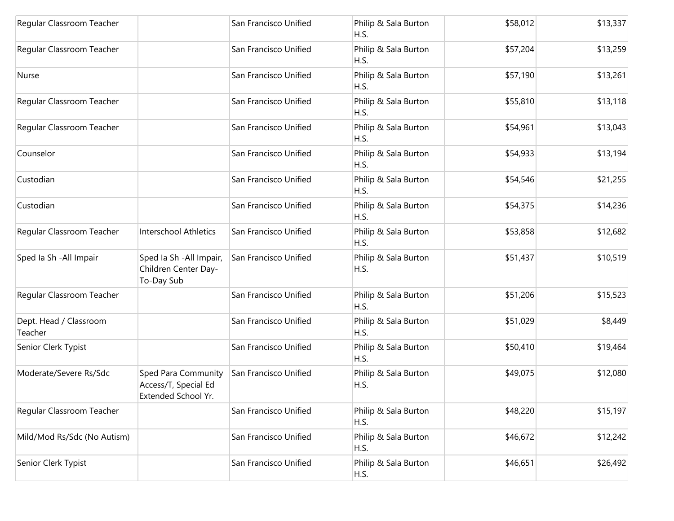| Regular Classroom Teacher         |                                                                    | San Francisco Unified | Philip & Sala Burton<br>H.S. | \$58,012 | \$13,337 |
|-----------------------------------|--------------------------------------------------------------------|-----------------------|------------------------------|----------|----------|
| Regular Classroom Teacher         |                                                                    | San Francisco Unified | Philip & Sala Burton<br>H.S. | \$57,204 | \$13,259 |
| Nurse                             |                                                                    | San Francisco Unified | Philip & Sala Burton<br>H.S. | \$57,190 | \$13,261 |
| Regular Classroom Teacher         |                                                                    | San Francisco Unified | Philip & Sala Burton<br>H.S. | \$55,810 | \$13,118 |
| Regular Classroom Teacher         |                                                                    | San Francisco Unified | Philip & Sala Burton<br>H.S. | \$54,961 | \$13,043 |
| Counselor                         |                                                                    | San Francisco Unified | Philip & Sala Burton<br>H.S. | \$54,933 | \$13,194 |
| Custodian                         |                                                                    | San Francisco Unified | Philip & Sala Burton<br>H.S. | \$54,546 | \$21,255 |
| Custodian                         |                                                                    | San Francisco Unified | Philip & Sala Burton<br>H.S. | \$54,375 | \$14,236 |
| Regular Classroom Teacher         | <b>Interschool Athletics</b>                                       | San Francisco Unified | Philip & Sala Burton<br>H.S. | \$53,858 | \$12,682 |
| Sped la Sh - All Impair           | Sped Ia Sh - All Impair,<br>Children Center Day-<br>To-Day Sub     | San Francisco Unified | Philip & Sala Burton<br>H.S. | \$51,437 | \$10,519 |
| Regular Classroom Teacher         |                                                                    | San Francisco Unified | Philip & Sala Burton<br>H.S. | \$51,206 | \$15,523 |
| Dept. Head / Classroom<br>Teacher |                                                                    | San Francisco Unified | Philip & Sala Burton<br>H.S. | \$51,029 | \$8,449  |
| Senior Clerk Typist               |                                                                    | San Francisco Unified | Philip & Sala Burton<br>H.S. | \$50,410 | \$19,464 |
| Moderate/Severe Rs/Sdc            | Sped Para Community<br>Access/T, Special Ed<br>Extended School Yr. | San Francisco Unified | Philip & Sala Burton<br>H.S. | \$49,075 | \$12,080 |
| Regular Classroom Teacher         |                                                                    | San Francisco Unified | Philip & Sala Burton<br>H.S. | \$48,220 | \$15,197 |
| Mild/Mod Rs/Sdc (No Autism)       |                                                                    | San Francisco Unified | Philip & Sala Burton<br>H.S. | \$46,672 | \$12,242 |
| Senior Clerk Typist               |                                                                    | San Francisco Unified | Philip & Sala Burton<br>H.S. | \$46,651 | \$26,492 |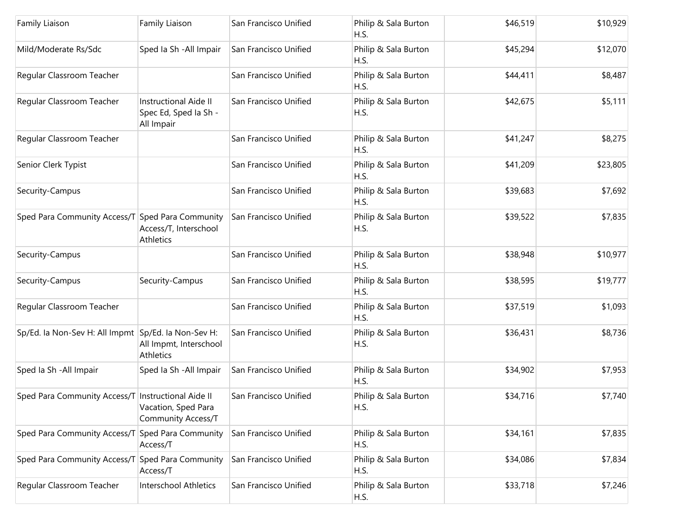| Family Liaison                                      | Family Liaison                                                      | San Francisco Unified | Philip & Sala Burton<br>H.S. | \$46,519 | \$10,929 |
|-----------------------------------------------------|---------------------------------------------------------------------|-----------------------|------------------------------|----------|----------|
| Mild/Moderate Rs/Sdc                                | Sped Ia Sh - All Impair                                             | San Francisco Unified | Philip & Sala Burton<br>H.S. | \$45,294 | \$12,070 |
| Regular Classroom Teacher                           |                                                                     | San Francisco Unified | Philip & Sala Burton<br>H.S. | \$44,411 | \$8,487  |
| Regular Classroom Teacher                           | <b>Instructional Aide II</b><br>Spec Ed, Sped Ia Sh -<br>All Impair | San Francisco Unified | Philip & Sala Burton<br>H.S. | \$42,675 | \$5,111  |
| Regular Classroom Teacher                           |                                                                     | San Francisco Unified | Philip & Sala Burton<br>H.S. | \$41,247 | \$8,275  |
| Senior Clerk Typist                                 |                                                                     | San Francisco Unified | Philip & Sala Burton<br>H.S. | \$41,209 | \$23,805 |
| Security-Campus                                     |                                                                     | San Francisco Unified | Philip & Sala Burton<br>H.S. | \$39,683 | \$7,692  |
| Sped Para Community Access/T Sped Para Community    | Access/T, Interschool<br>Athletics                                  | San Francisco Unified | Philip & Sala Burton<br>H.S. | \$39,522 | \$7,835  |
| Security-Campus                                     |                                                                     | San Francisco Unified | Philip & Sala Burton<br>H.S. | \$38,948 | \$10,977 |
| Security-Campus                                     | Security-Campus                                                     | San Francisco Unified | Philip & Sala Burton<br>H.S. | \$38,595 | \$19,777 |
| Regular Classroom Teacher                           |                                                                     | San Francisco Unified | Philip & Sala Burton<br>H.S. | \$37,519 | \$1,093  |
| Sp/Ed. la Non-Sev H: All Impmt Sp/Ed. la Non-Sev H: | All Impmt, Interschool<br>Athletics                                 | San Francisco Unified | Philip & Sala Burton<br>H.S. | \$36,431 | \$8,736  |
| Sped Ia Sh - All Impair                             | Sped Ia Sh - All Impair                                             | San Francisco Unified | Philip & Sala Burton<br>H.S. | \$34,902 | \$7,953  |
| Sped Para Community Access/T Instructional Aide II  | Vacation, Sped Para<br><b>Community Access/T</b>                    | San Francisco Unified | Philip & Sala Burton<br>H.S. | \$34,716 | \$7,740  |
| Sped Para Community Access/T Sped Para Community    | Access/T                                                            | San Francisco Unified | Philip & Sala Burton<br>H.S. | \$34,161 | \$7,835  |
| Sped Para Community Access/T                        | Sped Para Community<br>Access/T                                     | San Francisco Unified | Philip & Sala Burton<br>H.S. | \$34,086 | \$7,834  |
| Regular Classroom Teacher                           | Interschool Athletics                                               | San Francisco Unified | Philip & Sala Burton<br>H.S. | \$33,718 | \$7,246  |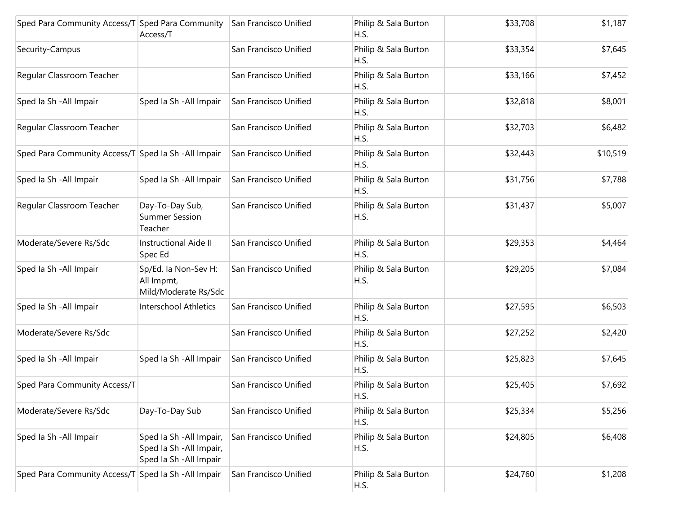| Sped Para Community Access/T Sped Para Community     | Access/T                                                                        | San Francisco Unified | Philip & Sala Burton<br>H.S. | \$33,708 | \$1,187  |
|------------------------------------------------------|---------------------------------------------------------------------------------|-----------------------|------------------------------|----------|----------|
| Security-Campus                                      |                                                                                 | San Francisco Unified | Philip & Sala Burton<br>H.S. | \$33,354 | \$7,645  |
| Regular Classroom Teacher                            |                                                                                 | San Francisco Unified | Philip & Sala Burton<br>H.S. | \$33,166 | \$7,452  |
| Sped Ia Sh - All Impair                              | Sped Ia Sh - All Impair                                                         | San Francisco Unified | Philip & Sala Burton<br>H.S. | \$32,818 | \$8,001  |
| Regular Classroom Teacher                            |                                                                                 | San Francisco Unified | Philip & Sala Burton<br>H.S. | \$32,703 | \$6,482  |
| Sped Para Community Access/T Sped Ia Sh - All Impair |                                                                                 | San Francisco Unified | Philip & Sala Burton<br>H.S. | \$32,443 | \$10,519 |
| Sped Ia Sh - All Impair                              | Sped Ia Sh - All Impair                                                         | San Francisco Unified | Philip & Sala Burton<br>H.S. | \$31,756 | \$7,788  |
| Regular Classroom Teacher                            | Day-To-Day Sub,<br><b>Summer Session</b><br>Teacher                             | San Francisco Unified | Philip & Sala Burton<br>H.S. | \$31,437 | \$5,007  |
| Moderate/Severe Rs/Sdc                               | <b>Instructional Aide II</b><br>Spec Ed                                         | San Francisco Unified | Philip & Sala Burton<br>H.S. | \$29,353 | \$4,464  |
| Sped Ia Sh - All Impair                              | Sp/Ed. la Non-Sev H:<br>All Impmt,<br>Mild/Moderate Rs/Sdc                      | San Francisco Unified | Philip & Sala Burton<br>H.S. | \$29,205 | \$7,084  |
| Sped Ia Sh - All Impair                              | <b>Interschool Athletics</b>                                                    | San Francisco Unified | Philip & Sala Burton<br>H.S. | \$27,595 | \$6,503  |
| Moderate/Severe Rs/Sdc                               |                                                                                 | San Francisco Unified | Philip & Sala Burton<br>H.S. | \$27,252 | \$2,420  |
| Sped Ia Sh - All Impair                              | Sped Ia Sh - All Impair                                                         | San Francisco Unified | Philip & Sala Burton<br>H.S. | \$25,823 | \$7,645  |
| Sped Para Community Access/T                         |                                                                                 | San Francisco Unified | Philip & Sala Burton<br>H.S. | \$25,405 | \$7,692  |
| Moderate/Severe Rs/Sdc                               | Day-To-Day Sub                                                                  | San Francisco Unified | Philip & Sala Burton<br>H.S. | \$25,334 | \$5,256  |
| Sped Ia Sh - All Impair                              | Sped Ia Sh - All Impair,<br>Sped Ia Sh - All Impair,<br>Sped Ia Sh - All Impair | San Francisco Unified | Philip & Sala Burton<br>H.S. | \$24,805 | \$6,408  |
| Sped Para Community Access/T Sped Ia Sh - All Impair |                                                                                 | San Francisco Unified | Philip & Sala Burton<br>H.S. | \$24,760 | \$1,208  |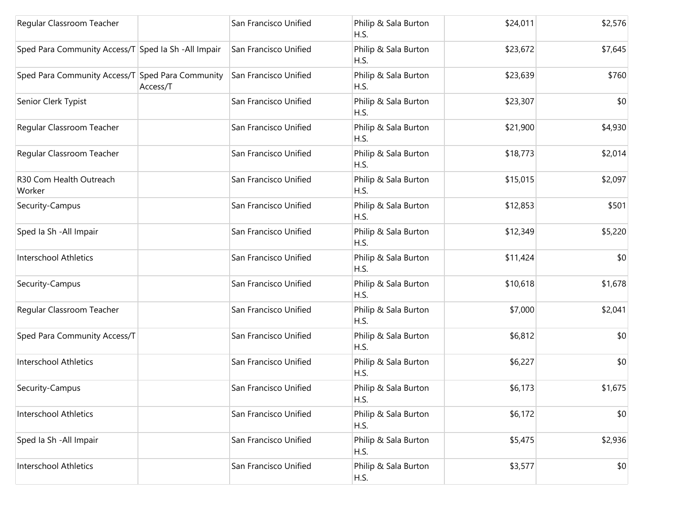| Regular Classroom Teacher                            |          | San Francisco Unified | Philip & Sala Burton<br>H.S. | \$24,011 | \$2,576 |
|------------------------------------------------------|----------|-----------------------|------------------------------|----------|---------|
| Sped Para Community Access/T Sped Ia Sh - All Impair |          | San Francisco Unified | Philip & Sala Burton<br>H.S. | \$23,672 | \$7,645 |
| Sped Para Community Access/T Sped Para Community     | Access/T | San Francisco Unified | Philip & Sala Burton<br>H.S. | \$23,639 | \$760   |
| Senior Clerk Typist                                  |          | San Francisco Unified | Philip & Sala Burton<br>H.S. | \$23,307 | \$0     |
| Regular Classroom Teacher                            |          | San Francisco Unified | Philip & Sala Burton<br>H.S. | \$21,900 | \$4,930 |
| Regular Classroom Teacher                            |          | San Francisco Unified | Philip & Sala Burton<br>H.S. | \$18,773 | \$2,014 |
| R30 Com Health Outreach<br>Worker                    |          | San Francisco Unified | Philip & Sala Burton<br>H.S. | \$15,015 | \$2,097 |
| Security-Campus                                      |          | San Francisco Unified | Philip & Sala Burton<br>H.S. | \$12,853 | \$501   |
| Sped Ia Sh - All Impair                              |          | San Francisco Unified | Philip & Sala Burton<br>H.S. | \$12,349 | \$5,220 |
| Interschool Athletics                                |          | San Francisco Unified | Philip & Sala Burton<br>H.S. | \$11,424 | \$0     |
| Security-Campus                                      |          | San Francisco Unified | Philip & Sala Burton<br>H.S. | \$10,618 | \$1,678 |
| Regular Classroom Teacher                            |          | San Francisco Unified | Philip & Sala Burton<br>H.S. | \$7,000  | \$2,041 |
| Sped Para Community Access/T                         |          | San Francisco Unified | Philip & Sala Burton<br>H.S. | \$6,812  | \$0     |
| <b>Interschool Athletics</b>                         |          | San Francisco Unified | Philip & Sala Burton<br>H.S. | \$6,227  | \$0     |
| Security-Campus                                      |          | San Francisco Unified | Philip & Sala Burton<br>H.S. | \$6,173  | \$1,675 |
| Interschool Athletics                                |          | San Francisco Unified | Philip & Sala Burton<br>H.S. | \$6,172  | \$0     |
| Sped Ia Sh - All Impair                              |          | San Francisco Unified | Philip & Sala Burton<br>H.S. | \$5,475  | \$2,936 |
| <b>Interschool Athletics</b>                         |          | San Francisco Unified | Philip & Sala Burton<br>H.S. | \$3,577  | \$0     |